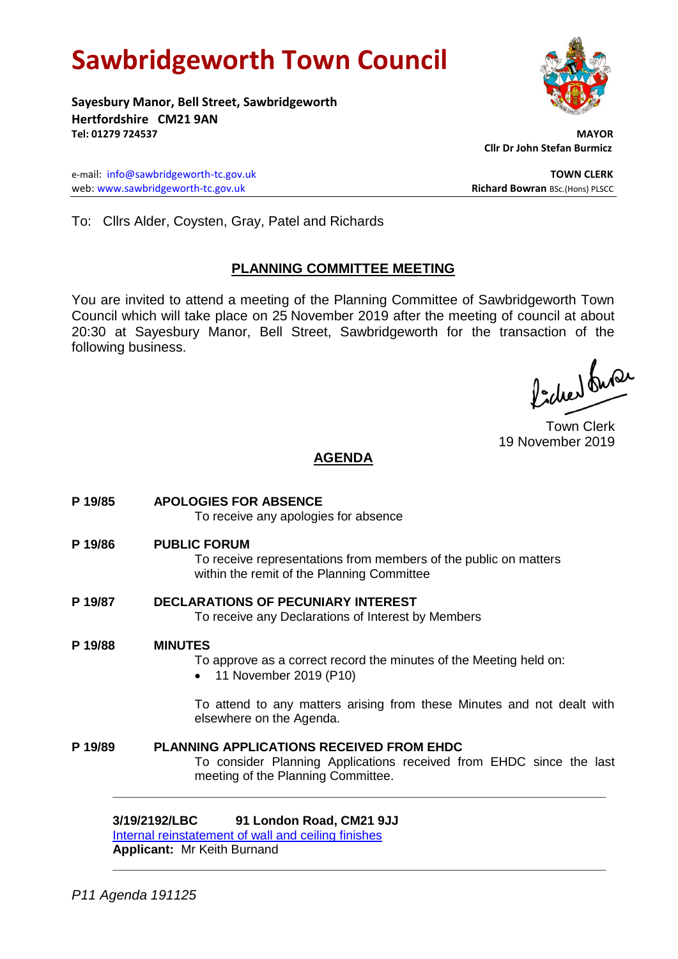# **Sawbridgeworth Town Council**

**Sayesbury Manor, Bell Street, Sawbridgeworth Hertfordshire CM21 9AN Tel: 01279 724537 MAYOR**

e-mail: [info@sawbridgeworth-tc.gov.uk](mailto:info@sawbridgeworth-tc.gov.uk) **TOWN CLERK** web: www.sawbridgeworth-tc.gov.uk<br> **Richard Bowran** BSc.(Hons) PLSCC

 **Cllr Dr John Stefan Burmicz**

To: Cllrs Alder, Coysten, Gray, Patel and Richards

### **PLANNING COMMITTEE MEETING**

You are invited to attend a meeting of the Planning Committee of Sawbridgeworth Town Council which will take place on 25 November 2019 after the meeting of council at about 20:30 at Sayesbury Manor, Bell Street, Sawbridgeworth for the transaction of the following business.

Picked fuse

Town Clerk 19 November 2019

## **AGENDA**

| P 19/85 | <b>APOLOGIES FOR ABSENCE</b><br>To receive any apologies for absence                                                                                         |
|---------|--------------------------------------------------------------------------------------------------------------------------------------------------------------|
| P 19/86 | <b>PUBLIC FORUM</b><br>To receive representations from members of the public on matters<br>within the remit of the Planning Committee                        |
| P 19/87 | <b>DECLARATIONS OF PECUNIARY INTEREST</b><br>To receive any Declarations of Interest by Members                                                              |
| P 19/88 | <b>MINUTES</b><br>To approve as a correct record the minutes of the Meeting held on:<br>11 November 2019 (P10)                                               |
|         | To attend to any matters arising from these Minutes and not dealt with<br>elsewhere on the Agenda.                                                           |
| P 19/89 | <b>PLANNING APPLICATIONS RECEIVED FROM EHDC</b><br>To consider Planning Applications received from EHDC since the last<br>meeting of the Planning Committee. |
|         | 3/19/2192/LBC<br>91 London Road, CM21 9JJ<br>Internal reinstatement of wall and ceiling finishes                                                             |

**\_\_\_\_\_\_\_\_\_\_\_\_\_\_\_\_\_\_\_\_\_\_\_\_\_\_\_\_\_\_\_\_\_\_\_\_\_\_\_\_\_\_\_\_\_\_\_\_\_\_\_\_\_\_\_\_\_\_\_\_\_\_\_\_\_**

**Applicant:** Mr Keith Burnand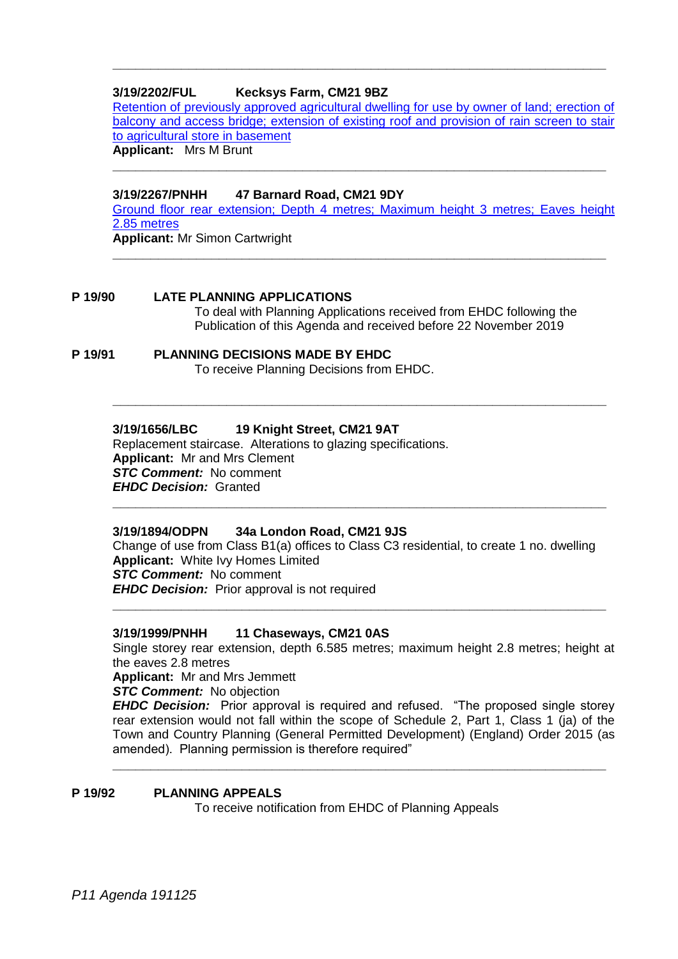#### **3/19/2202/FUL Kecksys Farm, CM21 9BZ**

[Retention of previously approved agricultural dwelling for use by owner of land; erection of](https://publicaccess.eastherts.gov.uk/online-applications/applicationDetails.do?activeTab=documents&keyVal=Q04XXBGL00T00)  [balcony and access bridge; extension of existing roof and provision of rain screen to stair](https://publicaccess.eastherts.gov.uk/online-applications/applicationDetails.do?activeTab=documents&keyVal=Q04XXBGL00T00)  [to agricultural store in basement](https://publicaccess.eastherts.gov.uk/online-applications/applicationDetails.do?activeTab=documents&keyVal=Q04XXBGL00T00) **Applicant:** Mrs M Brunt

**\_\_\_\_\_\_\_\_\_\_\_\_\_\_\_\_\_\_\_\_\_\_\_\_\_\_\_\_\_\_\_\_\_\_\_\_\_\_\_\_\_\_\_\_\_\_\_\_\_\_\_\_\_\_\_\_\_\_\_\_\_\_\_\_\_**

**\_\_\_\_\_\_\_\_\_\_\_\_\_\_\_\_\_\_\_\_\_\_\_\_\_\_\_\_\_\_\_\_\_\_\_\_\_\_\_\_\_\_\_\_\_\_\_\_\_\_\_\_\_\_\_\_\_\_\_\_\_\_\_\_\_**

**3/19/2267/PNHH 47 Barnard Road, CM21 9DY**

[Ground floor rear extension; Depth 4 metres; Maximum height 3 metres; Eaves height](https://publicaccess.eastherts.gov.uk/online-applications/applicationDetails.do?activeTab=documents&keyVal=Q0JN86GL04O00)  [2.85 metres](https://publicaccess.eastherts.gov.uk/online-applications/applicationDetails.do?activeTab=documents&keyVal=Q0JN86GL04O00)

**Applicant:** Mr Simon Cartwright **\_\_\_\_\_\_\_\_\_\_\_\_\_\_\_\_\_\_\_\_\_\_\_\_\_\_\_\_\_\_\_\_\_\_\_\_\_\_\_\_\_\_\_\_\_\_\_\_\_\_\_\_\_\_\_\_\_\_\_\_\_\_\_\_\_**

#### **P 19/90 LATE PLANNING APPLICATIONS**

To deal with Planning Applications received from EHDC following the Publication of this Agenda and received before 22 November 2019

**P 19/91 PLANNING DECISIONS MADE BY EHDC** To receive Planning Decisions from EHDC.

#### **3/19/1656/LBC 19 Knight Street, CM21 9AT**

Replacement staircase. Alterations to glazing specifications. **Applicant:** Mr and Mrs Clement *STC Comment:* No comment *EHDC Decision:* Granted

#### **3/19/1894/ODPN 34a London Road, CM21 9JS**

Change of use from Class B1(a) offices to Class C3 residential, to create 1 no. dwelling **Applicant:** White Ivy Homes Limited *STC Comment:* No comment *EHDC Decision:* Prior approval is not required **\_\_\_\_\_\_\_\_\_\_\_\_\_\_\_\_\_\_\_\_\_\_\_\_\_\_\_\_\_\_\_\_\_\_\_\_\_\_\_\_\_\_\_\_\_\_\_\_\_\_\_\_\_\_\_\_\_\_\_\_\_\_\_\_\_**

**\_\_\_\_\_\_\_\_\_\_\_\_\_\_\_\_\_\_\_\_\_\_\_\_\_\_\_\_\_\_\_\_\_\_\_\_\_\_\_\_\_\_\_\_\_\_\_\_\_\_\_\_\_\_\_\_\_\_\_\_\_\_\_\_\_**

**\_\_\_\_\_\_\_\_\_\_\_\_\_\_\_\_\_\_\_\_\_\_\_\_\_\_\_\_\_\_\_\_\_\_\_\_\_\_\_\_\_\_\_\_\_\_\_\_\_\_\_\_\_\_\_\_\_\_\_\_\_\_\_\_\_**

#### **3/19/1999/PNHH 11 Chaseways, CM21 0AS**

Single storey rear extension, depth 6.585 metres; maximum height 2.8 metres; height at the eaves 2.8 metres

**Applicant:** Mr and Mrs Jemmett

*STC Comment:* No objection

*EHDC Decision:* Prior approval is required and refused. "The proposed single storey rear extension would not fall within the scope of Schedule 2, Part 1, Class 1 (ja) of the Town and Country Planning (General Permitted Development) (England) Order 2015 (as amended). Planning permission is therefore required"

**\_\_\_\_\_\_\_\_\_\_\_\_\_\_\_\_\_\_\_\_\_\_\_\_\_\_\_\_\_\_\_\_\_\_\_\_\_\_\_\_\_\_\_\_\_\_\_\_\_\_\_\_\_\_\_\_\_\_\_\_\_\_\_\_\_**

#### **P 19/92 PLANNING APPEALS**

To receive notification from EHDC of Planning Appeals